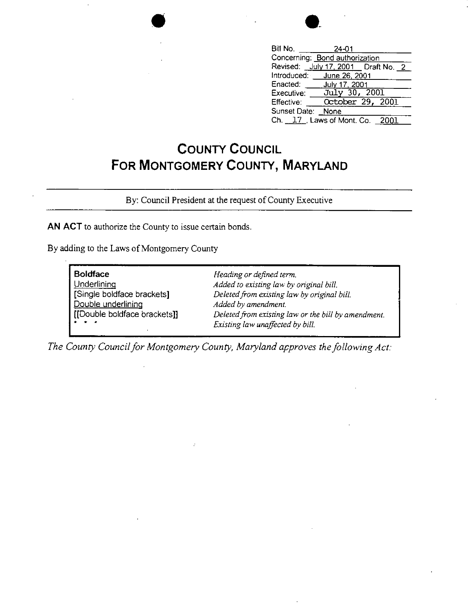| Bill No.                       | 24-01         |                                      |  |
|--------------------------------|---------------|--------------------------------------|--|
| Concerning: Bond authorization |               |                                      |  |
|                                |               | Revised: July 17, 2001   Draft No. 2 |  |
| Introduced: June 26, 2001      |               |                                      |  |
| Enacted: _____ July 17, 2001   |               |                                      |  |
| Executive:                     | July 30, 2001 |                                      |  |
| Effective.                     |               | October 29, 2001                     |  |
| Sunset Date: None              |               |                                      |  |
| Ch. 17, Laws of Mont. Co. 2001 |               |                                      |  |

## **COUNTY COUNCIL FOR MONTGOMERY COUNTY, MARYLAND**

By: Council President at the request of County Executive

**AN ACT** to authorize the County to issue certain bonds.

By adding to the Laws of Montgomery County

| <b>Boldface</b>              | Heading or defined term.                            |
|------------------------------|-----------------------------------------------------|
| Underlining                  | Added to existing law by original bill.             |
| [Single boldface brackets]   | Deleted from existing law by original bill.         |
| Double underlining           | Added by amendment.                                 |
| [[Double boldface brackets]] | Deleted from existing law or the bill by amendment. |
| .                            | Existing law unaffected by bill.                    |

*The County Council for Montgomery County, Maryland approves the following Act:*